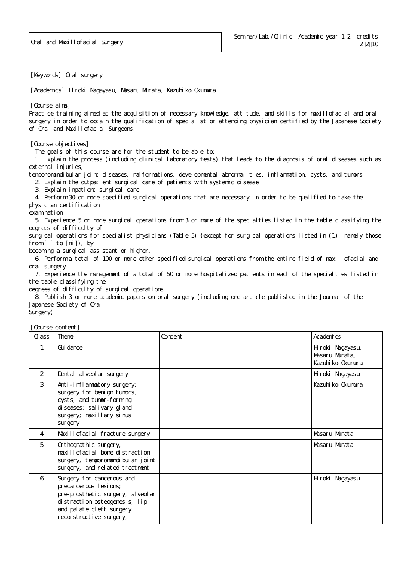[Keywords] Oral surgery

[Academics] Hiroki Nagayasu, Masaru Murata, Kazuhiko Okumura

[Course aims]

Practice training aimed at the acquisition of necessary knowledge, attitude, and skills for maxillofacial and oral surgery in order to obtain the qualification of specialist or attending physician certified by the Japanese Society of Oral and Maxillofacial Surgeons.

[Course objectives]

The goals of this course are for the student to be able to:

 1. Explain the process (including clinical laboratory tests) that leads to the diagnosis of oral diseases such as external injuries,

temporomandibular joint diseases, malformations, developmental abnormalities, inflammation, cysts, and tumors

2. Explain the outpatient surgical care of patients with systemic disease

3. Explain inpatient surgical care

 4. Perform 30 or more specified surgical operations that are necessary in order to be qualified to take the physician certification

examination

 5. Experience 5 or more surgical operations from 3 or more of the specialties listed in the table classifying the degrees of difficulty of

surgical operations for specialist physicians (Table 5) (except for surgical operations listed in (1), namely those from [i] to [ni]), by

becoming a surgical assistant or higher.

 6. Perform a total of 100 or more other specified surgical operations from the entire field of maxillofacial and oral surgery

 7. Experience the management of a total of 50 or more hospitalized patients in each of the specialties listed in the table classifying the

degrees of difficulty of surgical operations

 8. Publish 3 or more academic papers on oral surgery (including one article published in the Journal of the Japanese Society of Oral

Surgery)

[Course content]

| C ass          | Theme                                                                                                                                                                                   | Content | Academics                                               |
|----------------|-----------------------------------------------------------------------------------------------------------------------------------------------------------------------------------------|---------|---------------------------------------------------------|
| $\mathbf{1}$   | Gui dance                                                                                                                                                                               |         | Hiroki Nagayasu,<br>Masaru Murata,<br>Kazuhi ko Okumura |
| 2              | Dental al veol ar surgery                                                                                                                                                               |         | Hiroki Nagayasu                                         |
| 3              | Anti-inflammatory surgery;<br>surgery for benign tumors,<br>cysts, and tumor-forming<br>di seases; sal i vary gl and<br>surgery; maxillary sinus<br>surgery                             |         | Kazuhi ko Okumura                                       |
| $\overline{4}$ | Maxillofacial fracture surgery                                                                                                                                                          |         | Masaru Murata                                           |
| 5              | Orthognathic surgery,<br>maxillofacial bone distraction<br>surgery, temporomandi bul ar joint<br>surgery, and related treatment                                                         |         | Masaru Murata                                           |
| 6              | Surgery for cancerous and<br>precancerous I esi ons;<br>pre-prosthetic surgery, al veol ar<br>di stracti on osteogenesi s, lip<br>and pal ate cleft surgery,<br>reconstructive surgery, |         | Hiroki Nagayasu                                         |